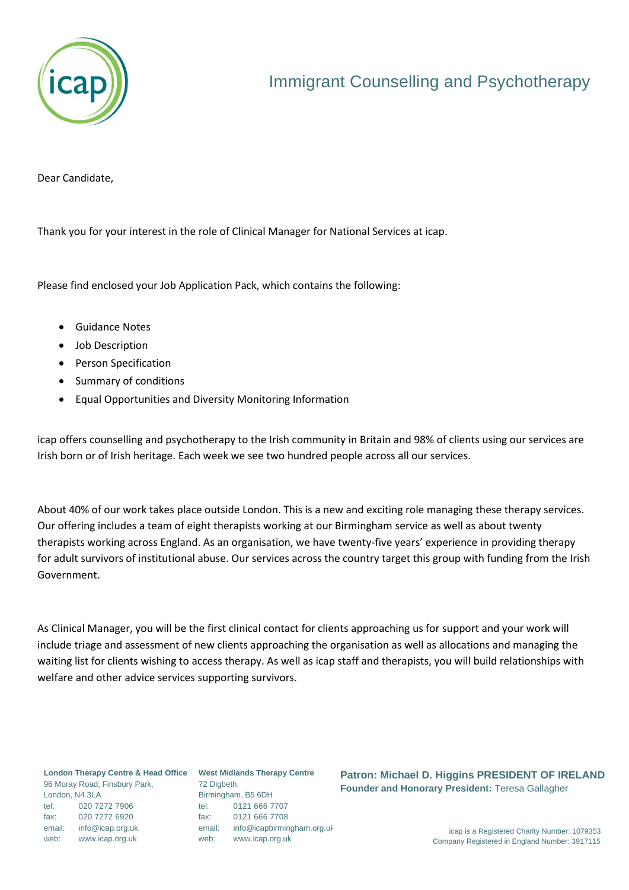

Dear Candidate,

Thank you for your interest in the role of Clinical Manager for National Services at icap.

Please find enclosed your Job Application Pack, which contains the following:

- Guidance Notes
- Job Description
- Person Specification
- Summary of conditions
- Equal Opportunities and Diversity Monitoring Information

icap offers counselling and psychotherapy to the Irish community in Britain and 98% of clients using our services are Irish born or of Irish heritage. Each week we see two hundred people across all our services.

About 40% of our work takes place outside London. This is a new and exciting role managing these therapy services. Our offering includes a team of eight therapists working at our Birmingham service as well as about twenty therapists working across England. As an organisation, we have twenty-five years' experience in providing therapy for adult survivors of institutional abuse. Our services across the country target this group with funding from the Irish Government.

As Clinical Manager, you will be the first clinical contact for clients approaching us for support and your work will include triage and assessment of new clients approaching the organisation as well as allocations and managing the waiting list for clients wishing to access therapy. As well as icap staff and therapists, you will build relationships with welfare and other advice services supporting survivors.

**London Therapy Centre & Head Office West Midlands Therapy Centre** 96 Moray Road, Finsbury Park, London, N4 3LA tel: 020 7272 7906 fax: 020 7272 6920 email: info@icap.org.uk web: www.icap.org.uk

72 Digbeth, Birmingham, B5 6DH tel: 0121 666 7707 fax: 0121 666 7708 email: info@icapbirmingham.org.uk web: www.icap.org.uk

**Patron: Michael D. Higgins PRESIDENT OF IRELAND Founder and Honorary President:** Teresa Gallagher